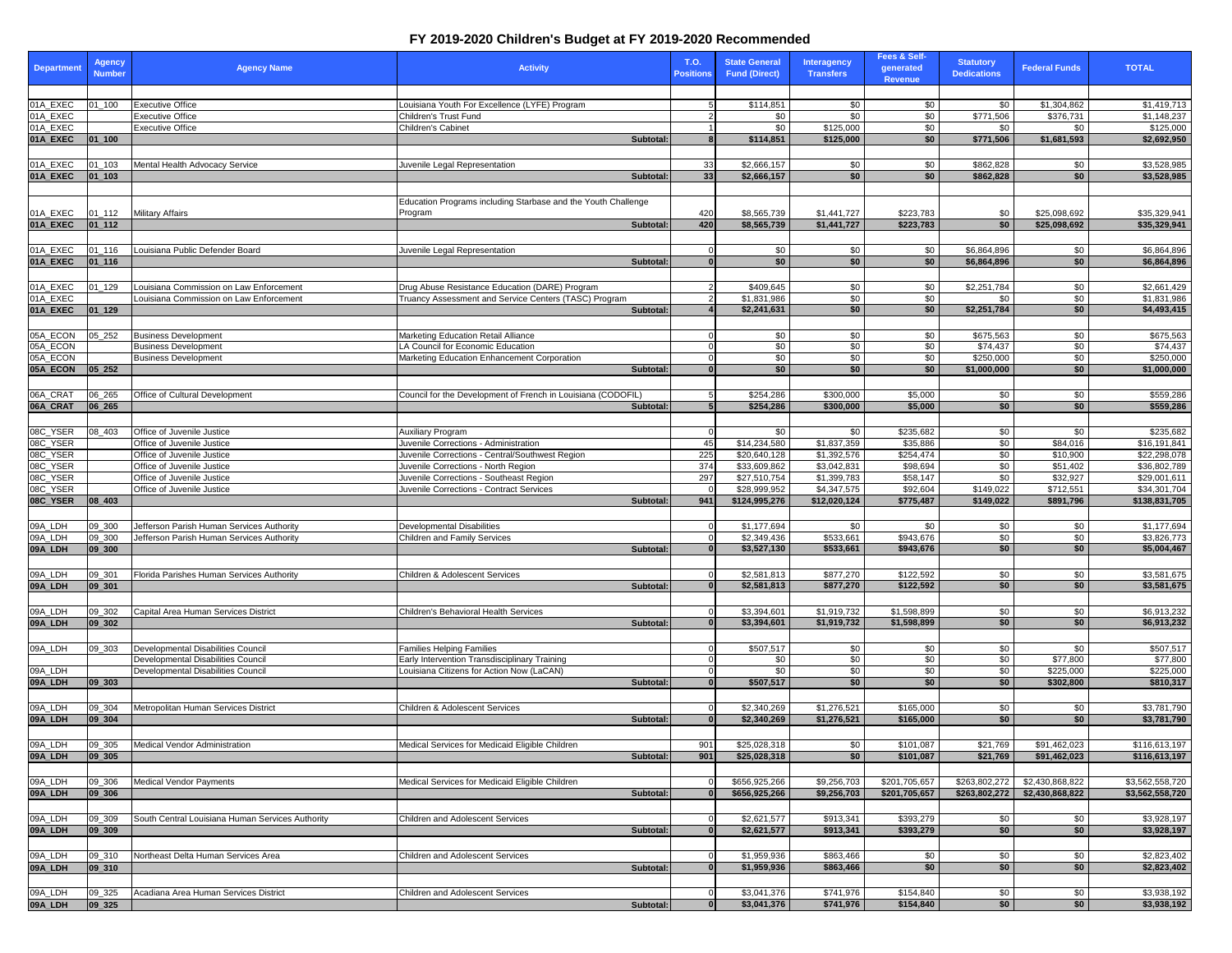| <b>Department</b>    | <b>Agency</b><br><b>Number</b> | <b>Agency Name</b>                                         | <b>Activity</b>                                                                        | <b>T.O.</b><br><b>Positions</b> | <b>State General</b><br><b>Fund (Direct)</b> | Interagency<br><b>Transfers</b> | <b>Fees &amp; Self-</b><br>generated<br>Revenue | <b>Statutory</b><br><b>Dedications</b> | <b>Federal Funds</b>     | <b>TOTAL</b>                 |
|----------------------|--------------------------------|------------------------------------------------------------|----------------------------------------------------------------------------------------|---------------------------------|----------------------------------------------|---------------------------------|-------------------------------------------------|----------------------------------------|--------------------------|------------------------------|
|                      |                                |                                                            |                                                                                        |                                 |                                              |                                 |                                                 |                                        |                          |                              |
| 01A_EXEC<br>01A_EXEC | 01_100                         | <b>Executive Office</b><br><b>Executive Office</b>         | Louisiana Youth For Excellence (LYFE) Program<br>Children's Trust Fund                 |                                 | \$114,851<br>\$0                             | \$0<br>\$0                      | \$0<br>\$0                                      | \$0<br>\$771,506                       | \$1,304,862<br>\$376,731 | \$1,419,713<br>\$1,148,237   |
| 01A_EXEC             |                                | <b>Executive Office</b>                                    | Children's Cabinet                                                                     |                                 | \$0                                          | \$125,000                       | \$0                                             | \$0                                    | \$0                      | \$125,000                    |
| 01A_EXEC             | $ 01$ _100                     |                                                            | Subtotal:                                                                              |                                 | \$114,851                                    | \$125,000                       | \$0                                             | \$771,506                              | \$1,681,593              | \$2,692,950                  |
|                      |                                |                                                            |                                                                                        |                                 |                                              |                                 |                                                 |                                        |                          |                              |
| 01A_EXEC             | $01 - 103$                     | Mental Health Advocacy Service                             | Juvenile Legal Representation                                                          | 33                              | \$2,666,157                                  | \$0                             | \$0                                             | $\overline{$862,828}$                  | \$0                      | \$3,528,985                  |
| 01A_EXEC             | $ 01$ 103                      |                                                            | Subtotal:                                                                              | 33                              | \$2,666,157                                  | \$0                             | \$0                                             | \$862,828                              | \$0                      | \$3,528,985                  |
|                      |                                |                                                            |                                                                                        |                                 |                                              |                                 |                                                 |                                        |                          |                              |
|                      |                                |                                                            | Education Programs including Starbase and the Youth Challenge                          |                                 |                                              |                                 |                                                 |                                        |                          |                              |
| 01A_EXEC<br>01A_EXEC | $01 - 112$<br>$ 01_112 $       | <b>Military Affairs</b>                                    | Program<br>Subtotal:                                                                   | 420<br>420                      | \$8,565,739                                  | \$1,441,727<br>\$1,441,727      | \$223,783                                       | \$0<br>\$0                             | \$25,098,692             | \$35,329,941                 |
|                      |                                |                                                            |                                                                                        |                                 | \$8,565,739                                  |                                 | \$223,783                                       |                                        | \$25,098,692             | \$35,329,941                 |
| 01A_EXEC             | $01 - 116$                     | Louisiana Public Defender Board                            | Juvenile Legal Representation                                                          | $\Omega$                        | \$0                                          | \$0                             | \$0                                             | \$6,864,896                            | \$0                      | \$6,864,896                  |
| 01A_EXEC             | $ 01_116 $                     |                                                            | Subtotal:                                                                              |                                 | \$0                                          | \$0                             | \$0                                             | \$6,864,896                            | \$0                      | \$6,864,896                  |
|                      |                                |                                                            |                                                                                        |                                 |                                              |                                 |                                                 |                                        |                          |                              |
| 01A_EXEC             | 01_129                         | Louisiana Commission on Law Enforcement                    | Drug Abuse Resistance Education (DARE) Program                                         |                                 | \$409,645                                    | \$0                             | \$0                                             | \$2,251,784                            | \$0                      | \$2,661,429                  |
| 01A_EXEC             |                                | Louisiana Commission on Law Enforcement                    | Truancy Assessment and Service Centers (TASC) Program                                  |                                 | \$1,831,986                                  | \$0                             | \$0                                             | \$0                                    | \$0                      | \$1,831,986                  |
| 01A_EXEC             | $ 01_129 $                     |                                                            | Subtotal:                                                                              |                                 | \$2,241,631                                  | \$0                             | \$0                                             | \$2,251,784                            | \$0                      | \$4,493,415                  |
|                      |                                |                                                            |                                                                                        |                                 |                                              |                                 |                                                 |                                        |                          |                              |
| 05A_ECON             | $05 - 252$                     | <b>Business Development</b>                                | Marketing Education Retail Alliance                                                    |                                 | \$0                                          | \$0                             | \$0                                             | \$675,563                              | \$0                      | \$675,563                    |
| 05A_ECON<br>05A_ECON |                                | <b>Business Development</b><br><b>Business Development</b> | LA Council for Economic Education<br>Marketing Education Enhancement Corporation       |                                 | $\overline{60}$<br>\$0                       | $\sqrt{6}$<br>\$0               | $\sqrt{6}$<br>\$0                               | \$74,437<br>\$250,000                  | $\sqrt{60}$<br>\$0       | \$74,437<br>\$250,000        |
| 05A_ECON             | 05 252                         |                                                            | Subtotal:                                                                              |                                 | \$0                                          | \$0                             | \$0                                             | \$1,000,000                            | \$0                      | \$1,000,000                  |
|                      |                                |                                                            |                                                                                        |                                 |                                              |                                 |                                                 |                                        |                          |                              |
| 06A_CRAT             | 06_265                         | Office of Cultural Development                             | Council for the Development of French in Louisiana (CODOFIL)                           |                                 | \$254,286                                    | \$300,000                       | \$5,000                                         | \$0                                    | \$0                      | \$559,286                    |
| 06A_CRAT             | $ 06_265$                      |                                                            | Subtotal:                                                                              |                                 | \$254,286                                    | \$300,000                       | \$5,000                                         | \$0                                    | \$0                      | \$559,286                    |
|                      |                                |                                                            |                                                                                        |                                 |                                              |                                 |                                                 |                                        |                          |                              |
| 08C_YSER             | 08_403                         | Office of Juvenile Justice                                 | <b>Auxiliary Program</b>                                                               |                                 | \$0                                          | \$0                             | \$235,682                                       | \$0                                    | \$0                      | \$235,682                    |
| 08C_YSER             |                                | Office of Juvenile Justice                                 | Juvenile Corrections - Administration                                                  | 45                              | \$14,234,580                                 | \$1,837,359                     | \$35,886                                        | $\sqrt{6}$                             | \$84,016                 | \$16,191,841                 |
| 08C_YSER             |                                | Office of Juvenile Justice<br>Office of Juvenile Justice   | Juvenile Corrections - Central/Southwest Region<br>Juvenile Corrections - North Region | 225<br>374                      | \$20,640,128<br>\$33,609,862                 | \$1,392,576<br>\$3,042,831      | \$254,474<br>\$98,694                           | \$0<br>$\sqrt{6}$                      | \$10,900<br>\$51,402     | \$22,298,078<br>\$36,802,789 |
| 08C_YSER<br>08C_YSER |                                | Office of Juvenile Justice                                 | Juvenile Corrections - Southeast Region                                                | 297                             | \$27,510,754                                 | \$1,399,783                     | \$58,147                                        | \$0                                    | \$32,927                 | \$29,001,611                 |
| 08C_YSER             |                                | Office of Juvenile Justice                                 | Juvenile Corrections - Contract Services                                               |                                 | \$28,999,952                                 | \$4,347,575                     | \$92,604                                        | \$149,022                              | \$712,551                | \$34,301,704                 |
| 08C_YSER             | $ 08_403$                      |                                                            | Subtotal:                                                                              | 941                             | \$124,995,276                                | \$12,020,124                    | \$775,487                                       | \$149,022                              | \$891,796                | \$138,831,705                |
|                      |                                |                                                            |                                                                                        |                                 |                                              |                                 |                                                 |                                        |                          |                              |
| 09A_LDH              | 09_300                         | Jefferson Parish Human Services Authority                  | <b>Developmental Disabilities</b>                                                      |                                 | \$1,177,694                                  | \$0                             | \$0                                             | \$0                                    | \$0                      | \$1,177,694                  |
| 09A_LDH              | 09_300                         | Jefferson Parish Human Services Authority                  | <b>Children and Family Services</b>                                                    |                                 | \$2,349,436<br>\$3,527,130                   | \$533,661<br>\$533,661          | \$943,676<br>\$943,676                          | $\sqrt{6}$<br>\$0                      | \$0<br>\$0               | \$3,826,773<br>\$5,004,467   |
| 09A_LDH              | 09 300                         |                                                            | Subtotal:                                                                              |                                 |                                              |                                 |                                                 |                                        |                          |                              |
| 09A_LDH              | 09_301                         | Florida Parishes Human Services Authority                  | Children & Adolescent Services                                                         |                                 | \$2,581,813                                  | \$877,270                       | \$122,592                                       | \$0                                    | \$0                      | \$3,581,675                  |
| 09A_LDH              | 09 301                         |                                                            | Subtotal:                                                                              |                                 | \$2,581,813                                  | \$877,270                       | \$122,592                                       | \$0                                    | \$0                      | \$3,581,675                  |
|                      |                                |                                                            |                                                                                        |                                 |                                              |                                 |                                                 |                                        |                          |                              |
| 09A_LDH              | 09_302                         | Capital Area Human Services District                       | <b>Children's Behavioral Health Services</b>                                           |                                 | \$3,394,601                                  | \$1,919,732                     | \$1,598,899                                     | \$0                                    | \$0                      | \$6,913,232                  |
| 09A_LDH              | 09 302                         |                                                            | Subtotal:                                                                              |                                 | \$3,394,601                                  | \$1,919,732                     | \$1,598,899                                     | \$0                                    | \$0                      | \$6,913,232                  |
|                      |                                |                                                            |                                                                                        |                                 |                                              |                                 |                                                 |                                        |                          |                              |
| 09A_LDH              | 09_303                         | Developmental Disabilities Council                         | <b>Families Helping Families</b>                                                       |                                 | \$507,517                                    | \$0                             | \$0                                             | \$0                                    | \$0                      | \$507,517                    |
|                      |                                | Developmental Disabilities Council                         | Early Intervention Transdisciplinary Training                                          |                                 | \$0                                          | \$0                             | \$0                                             | $\sqrt{6}$                             | \$77,800                 | \$77,800                     |
| 09A_LDH<br>09A_LDH   | $ 09 $ 303                     | Developmental Disabilities Council                         | Louisiana Citizens for Action Now (LaCAN)<br>Subtotal:                                 |                                 | \$0<br>\$507,517                             | \$0<br>\$0                      | \$0<br>\$0                                      | $\sqrt{6}$<br>\$0                      | \$225,000<br>\$302,800   | \$225,000<br>\$810,317       |
|                      |                                |                                                            |                                                                                        |                                 |                                              |                                 |                                                 |                                        |                          |                              |
| 09A_LDH              | 09_304                         | Metropolitan Human Services District                       | <b>Children &amp; Adolescent Services</b>                                              |                                 | \$2,340,269                                  | \$1,276,521                     | \$165,000                                       | \$0                                    | \$0                      | \$3,781,790                  |
| 09A_LDH              | 09 304                         |                                                            | Subtotal:                                                                              |                                 | \$2,340,269                                  | \$1,276,521                     | \$165,000                                       | \$0                                    | \$0                      | \$3,781,790                  |
|                      |                                |                                                            |                                                                                        |                                 |                                              |                                 |                                                 |                                        |                          |                              |
| 09A_LDH              | 09_305                         | Medical Vendor Administration                              | Medical Services for Medicaid Eligible Children                                        | 901                             | \$25,028,318                                 | \$0                             | \$101,087                                       | \$21,769                               | \$91,462,023             | \$116,613,197                |
| 09A_LDH              | $ 09$ 305                      |                                                            | Subtotal:                                                                              | 901                             | \$25,028,318                                 | \$0                             | \$101,087                                       | \$21,769                               | \$91,462,023             | \$116,613,197                |
|                      |                                |                                                            |                                                                                        |                                 |                                              |                                 |                                                 |                                        |                          |                              |
| 09A_LDH              | 09_306                         | Medical Vendor Payments                                    | Medical Services for Medicaid Eligible Children                                        |                                 | \$656,925,266                                | \$9,256,703                     | \$201,705,657                                   | \$263,802,272                          | \$2,430,868,822          | \$3,562,558,720              |
| 09A_LDH              | 09 306                         |                                                            | Subtotal:                                                                              |                                 | \$656,925,266                                | \$9,256,703                     | \$201,705,657                                   | \$263,802,272                          | \$2,430,868,822          | \$3,562,558,720              |
| 09A_LDH              | 09_309                         | South Central Louisiana Human Services Authority           | <b>Children and Adolescent Services</b>                                                |                                 | \$2,621,577                                  | \$913,341                       | \$393,279                                       |                                        | \$0                      | \$3,928,197                  |
| 09A_LDH              | 09 309                         |                                                            | Subtotal:                                                                              |                                 | \$2,621,577                                  | \$913,341                       | \$393,279                                       | \$0<br>\$0                             | \$0                      | \$3,928,197                  |
|                      |                                |                                                            |                                                                                        |                                 |                                              |                                 |                                                 |                                        |                          |                              |
| 09A_LDH              | 09_310                         | Northeast Delta Human Services Area                        | <b>Children and Adolescent Services</b>                                                |                                 | \$1,959,936                                  | \$863,466                       | \$0                                             | \$0                                    | \$0                      | \$2,823,402                  |
| 09A_LDH              | $ 09_310$                      |                                                            | Subtotal:                                                                              |                                 | \$1,959,936                                  | \$863,466                       | \$0                                             | \$0                                    | \$0                      | \$2,823,402                  |
|                      |                                |                                                            |                                                                                        |                                 |                                              |                                 |                                                 |                                        |                          |                              |
| 09A_LDH              | 09_325                         | Acadiana Area Human Services District                      | <b>Children and Adolescent Services</b>                                                |                                 | \$3,041,376                                  | \$741,976                       | \$154,840                                       | \$0                                    | \$0                      | \$3,938,192                  |
| 09A_LDH              | 09 325                         |                                                            | Subtotal:                                                                              |                                 | \$3,041,376                                  | \$741,976                       | \$154,840                                       | \$0                                    | \$0                      | \$3,938,192                  |

## **FY 2019-2020 Children's Budget at FY 2019-2020 Recommended**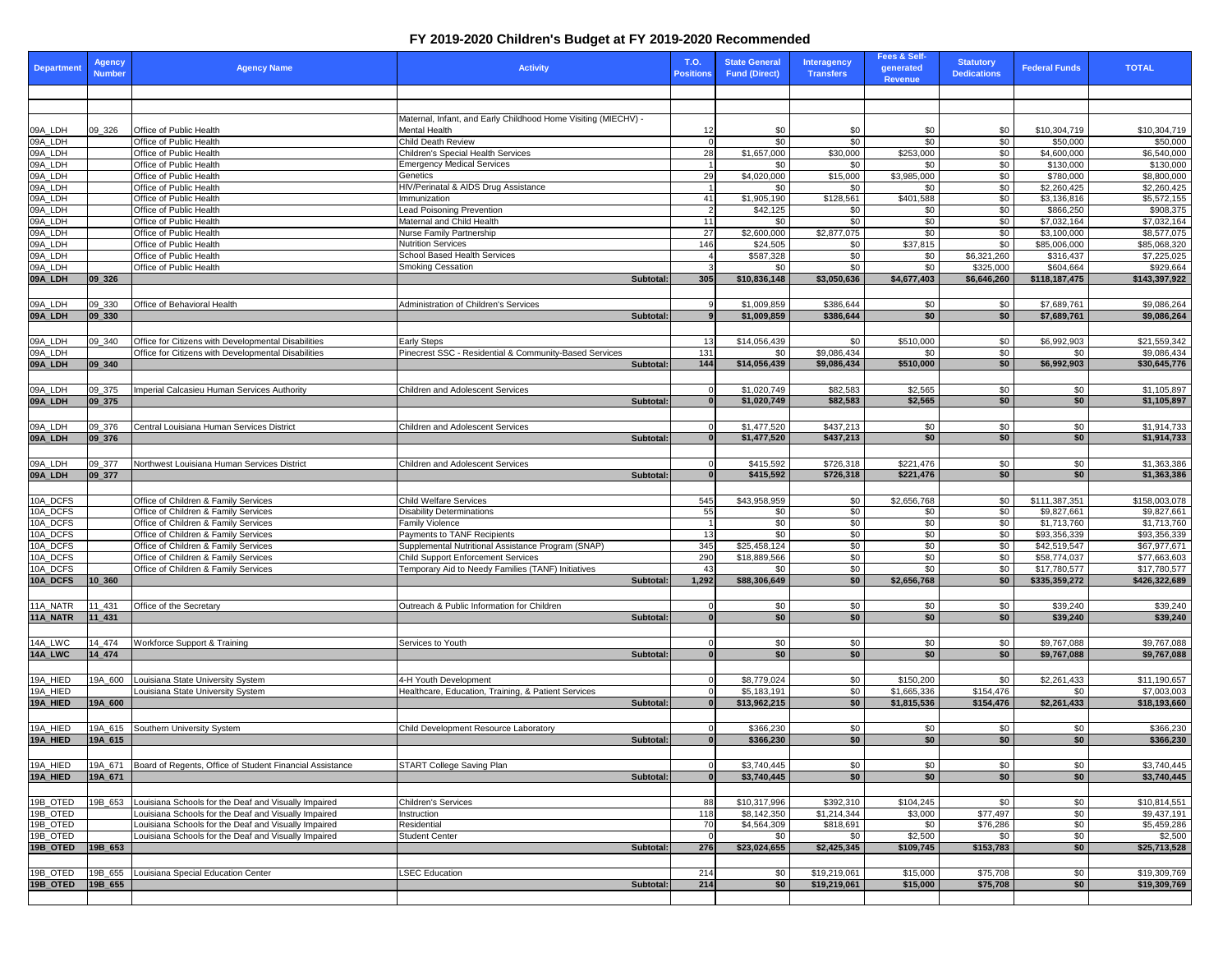## **FY 2019-2020 Children's Budget at FY 2019-2020 Recommended**

| <b>Department</b>                                                                                                                | <b>Agency</b><br>Number | <b>Agency Name</b>                                                                                           | <b>Activity</b>                                                                                 | T.O | <b>Positions</b> | <b>State General</b><br><b>Fund (Direct)</b> | Interagency<br><b>Transfers</b> | <b>Fees &amp; Self-</b><br>generated<br>Revenue | <b>Statutory</b><br><b>Dedications</b> | <b>Federal Funds</b>         | <b>TOTAL</b>                 |
|----------------------------------------------------------------------------------------------------------------------------------|-------------------------|--------------------------------------------------------------------------------------------------------------|-------------------------------------------------------------------------------------------------|-----|------------------|----------------------------------------------|---------------------------------|-------------------------------------------------|----------------------------------------|------------------------------|------------------------------|
|                                                                                                                                  |                         |                                                                                                              |                                                                                                 |     |                  |                                              |                                 |                                                 |                                        |                              |                              |
|                                                                                                                                  |                         |                                                                                                              |                                                                                                 |     |                  |                                              |                                 |                                                 |                                        |                              |                              |
|                                                                                                                                  | 09_326                  | Office of Public Health                                                                                      | Maternal, Infant, and Early Childhood Home Visiting (MIECHV) -<br><b>Mental Health</b>          |     | 12               | \$0                                          | \$0                             | \$0                                             | \$0                                    | \$10,304,719                 | \$10,304,719                 |
| 09A_LDH<br>09A_LDH<br>09A_LDH<br>09A_LDH<br>09A_LDH<br>09A_LDH<br>09A_LDH<br>09A_LDH<br>09A_LDH<br>09A_LDH<br>09A_LDH<br>09A_LDH |                         | Office of Public Health                                                                                      | <b>Child Death Review</b>                                                                       |     |                  | $\sqrt{6}$                                   | \$0                             | $\sqrt{6}$                                      | \$0                                    | \$50,000                     | \$50,000                     |
|                                                                                                                                  |                         | Office of Public Health                                                                                      | <b>Children's Special Health Services</b>                                                       |     | 28               | \$1,657,000                                  | \$30,000                        | \$253,000                                       | \$0                                    | \$4,600,000                  | \$6,540,000                  |
|                                                                                                                                  |                         | Office of Public Health                                                                                      | <b>Emergency Medical Services</b>                                                               |     |                  | \$0                                          | \$0                             | \$0                                             | \$0                                    | \$130,000                    | \$130,000                    |
|                                                                                                                                  |                         | Office of Public Health<br>Office of Public Health                                                           | Genetics<br>HIV/Perinatal & AIDS Drug Assistance                                                |     | 29               | \$4,020,000<br>\$0                           | \$15,000<br>\$0                 | \$3,985,000<br>\$0                              | \$0<br>\$0                             | \$780,000<br>\$2,260,425     | \$8,800,000<br>\$2,260,425   |
|                                                                                                                                  |                         | Office of Public Health                                                                                      | Immunization                                                                                    |     | 41               | \$1,905,190                                  | \$128,561                       | \$401,588                                       | \$0                                    | \$3,136,816                  | \$5,572,155                  |
|                                                                                                                                  |                         | Office of Public Health                                                                                      | <b>Lead Poisoning Prevention</b>                                                                |     |                  | \$42,125                                     | \$0                             | \$0                                             | \$0                                    | \$866,250                    | \$908,375                    |
|                                                                                                                                  |                         | Office of Public Health                                                                                      | Maternal and Child Health                                                                       |     | 11               | \$0                                          | \$0                             | $\sqrt{6}$                                      | \$0                                    | \$7,032,164                  | \$7,032,164                  |
|                                                                                                                                  |                         | Office of Public Health<br>Office of Public Health                                                           | Nurse Family Partnership<br><b>Nutrition Services</b>                                           |     | 27<br>146        | \$2,600,000<br>\$24,505                      | \$2,877,075<br>\$0              | \$0<br>\$37,815                                 | \$0<br>\$0                             | \$3,100,000<br>\$85,006,000  | \$8,577,075<br>\$85,068,320  |
|                                                                                                                                  |                         | Office of Public Health                                                                                      | <b>School Based Health Services</b>                                                             |     |                  | \$587,328                                    | \$0                             | \$0                                             | \$6,321,260                            | \$316,437                    | \$7,225,025                  |
|                                                                                                                                  |                         | Office of Public Health                                                                                      | <b>Smoking Cessation</b>                                                                        |     |                  | \$0                                          | \$0                             | \$0                                             | \$325,000                              | \$604,664                    | \$929,664                    |
| 09A_LDH                                                                                                                          | $ 09 - 326 $            |                                                                                                              | Subtotal:                                                                                       |     | 305              | \$10,836,148                                 | \$3,050,636                     | \$4,677,403                                     | \$6,646,260                            | \$118,187,475                | \$143,397,922                |
|                                                                                                                                  |                         |                                                                                                              |                                                                                                 |     |                  |                                              |                                 |                                                 |                                        |                              |                              |
| 09A_LDH<br>09A_LDH                                                                                                               | 09_330<br>$ 09 - 330 $  | Office of Behavioral Health                                                                                  | <b>Administration of Children's Services</b><br>Subtotal:                                       |     |                  | \$1,009,859<br>\$1,009,859                   | \$386,644<br>\$386,644          | \$0<br>\$0                                      | \$0<br>\$0                             | \$7,689,761<br>\$7,689,761   | \$9,086,264<br>\$9,086,264   |
|                                                                                                                                  |                         |                                                                                                              |                                                                                                 |     |                  |                                              |                                 |                                                 |                                        |                              |                              |
|                                                                                                                                  | 09 340                  | Office for Citizens with Developmental Disabilities                                                          | <b>Early Steps</b>                                                                              |     | 13               | \$14,056,439                                 | \$0                             | \$510,000                                       | \$0                                    | \$6,992,903                  | \$21,559,342                 |
| 09A_LDH<br>09A_LDH                                                                                                               |                         | Office for Citizens with Developmental Disabilities                                                          | Pinecrest SSC - Residential & Community-Based Services                                          |     | 131              | \$0                                          | \$9,086,434                     | \$0                                             | \$0                                    | \$0                          | \$9,086,434                  |
| 09A_LDH                                                                                                                          | 09 340                  |                                                                                                              | Subtotal:                                                                                       |     | 144              | \$14,056,439                                 | \$9,086,434                     | \$510,000                                       | \$0                                    | \$6,992,903                  | \$30,645,776                 |
|                                                                                                                                  |                         |                                                                                                              |                                                                                                 |     |                  |                                              |                                 |                                                 |                                        |                              |                              |
| 09A_LDH<br>09A_LDH                                                                                                               | 09_375<br>$ 09 - 375 $  | Imperial Calcasieu Human Services Authority                                                                  | <b>Children and Adolescent Services</b><br>Subtotal:                                            |     |                  | \$1,020,749<br>\$1,020,749                   | \$82,583<br>\$82,583            | \$2,565<br>\$2,565                              | \$0<br>\$0                             | \$0<br>\$0                   | \$1,105,897<br>\$1,105,897   |
|                                                                                                                                  |                         |                                                                                                              |                                                                                                 |     |                  |                                              |                                 |                                                 |                                        |                              |                              |
| 09A_LDH                                                                                                                          | 09_376                  | Central Louisiana Human Services District                                                                    | <b>Children and Adolescent Services</b>                                                         |     |                  | \$1,477,520                                  | \$437,213                       | \$0                                             | \$0                                    | \$0                          | \$1,914,733                  |
| 09A_LDH                                                                                                                          | $ 09 - 376 $            |                                                                                                              | Subtotal:                                                                                       |     |                  | \$1,477,520                                  | \$437,213                       | \$0                                             | \$0                                    | \$0                          | \$1,914,733                  |
|                                                                                                                                  |                         |                                                                                                              |                                                                                                 |     |                  |                                              |                                 |                                                 |                                        |                              |                              |
| 09A_LDH                                                                                                                          | 09_377                  | Northwest Louisiana Human Services District                                                                  | <b>Children and Adolescent Services</b>                                                         |     |                  | \$415,592                                    | \$726,318                       | \$221,476                                       | \$0                                    | \$0                          | \$1,363,386                  |
| 09A_LDH                                                                                                                          | $ 09_377 $              |                                                                                                              | Subtotal:                                                                                       |     |                  | \$415,592                                    | \$726,318                       | \$221,476                                       | \$0                                    | \$0                          | \$1,363,386                  |
| 10A_DCFS                                                                                                                         |                         | Office of Children & Family Services                                                                         | <b>Child Welfare Services</b>                                                                   |     | 545              | \$43,958,959                                 | \$0                             | $\overline{$}2,656,768$                         | \$0                                    | \$111,387,351                | \$158,003,078                |
| 10A_DCFS                                                                                                                         |                         | Office of Children & Family Services                                                                         | <b>Disability Determinations</b>                                                                |     | 55               | $\frac{6}{3}$                                | $\sqrt{60}$                     | \$0                                             | $\sqrt{60}$                            | \$9,827,661                  | \$9,827,661                  |
| 10A_DCFS                                                                                                                         |                         | Office of Children & Family Services                                                                         | <b>Family Violence</b>                                                                          |     |                  | $\frac{1}{6}$                                | $\sqrt{60}$                     | $\sqrt{60}$                                     | $\sqrt{60}$                            | \$1,713,760                  | \$1,713,760                  |
| 10A_DCFS                                                                                                                         |                         | Office of Children & Family Services                                                                         | <b>Payments to TANF Recipients</b>                                                              |     | 13               | $\sqrt{6}$                                   | \$0                             | $\sqrt{60}$                                     | \$0                                    | \$93,356,339                 | \$93,356,339                 |
| 10A_DCFS                                                                                                                         |                         | Office of Children & Family Services                                                                         | Supplemental Nutritional Assistance Program (SNAP)                                              |     | 345              | \$25,458,124                                 | $\sqrt{60}$                     | $\sqrt{60}$                                     | $\sqrt{6}$                             | \$42,519,547                 | \$67,977,671                 |
| 10A_DCFS<br>10A_DCFS                                                                                                             |                         | Office of Children & Family Services<br>Office of Children & Family Services                                 | <b>Child Support Enforcement Services</b><br>Temporary Aid to Needy Families (TANF) Initiatives |     | 290<br>43        | \$18,889,566<br>\$0                          | $\sqrt{60}$<br>\$0              | $\sqrt{60}$<br>\$0                              | $\sqrt{60}$<br>\$0                     | \$58,774,037<br>\$17,780,577 | \$77,663,603<br>\$17,780,577 |
| 10A_DCFS                                                                                                                         | $10_360$                |                                                                                                              | Subtotal:                                                                                       |     | 1,292            | \$88,306,649                                 | \$0                             | \$2,656,768                                     | \$0                                    | \$335,359,272                | \$426,322,689                |
|                                                                                                                                  |                         |                                                                                                              |                                                                                                 |     |                  |                                              |                                 |                                                 |                                        |                              |                              |
| 11A_NATR                                                                                                                         | 11_431                  | Office of the Secretary                                                                                      | Outreach & Public Information for Children                                                      |     |                  | \$0                                          | \$0                             | \$0                                             | \$0                                    | \$39,240                     | \$39,240                     |
| 11A_NATR                                                                                                                         | $11 - 431$              |                                                                                                              | Subtotal:                                                                                       |     |                  | \$0                                          | \$0                             | \$0                                             | \$0                                    | \$39,240                     | \$39,240                     |
|                                                                                                                                  |                         |                                                                                                              |                                                                                                 |     |                  |                                              |                                 |                                                 |                                        |                              |                              |
| 14A_LWC<br>14A_LWC                                                                                                               | 14_474<br>14 474        | Workforce Support & Training                                                                                 | Services to Youth<br>Subtotal:                                                                  |     |                  | \$0<br>\$0                                   | \$0<br>\$0                      | \$0<br>\$0                                      | \$0<br>\$0                             | \$9,767,088<br>\$9,767,088   | \$9,767,088<br>\$9,767,088   |
|                                                                                                                                  |                         |                                                                                                              |                                                                                                 |     |                  |                                              |                                 |                                                 |                                        |                              |                              |
| 19A_HIED                                                                                                                         | 19A 600                 | Louisiana State University System                                                                            | 4-H Youth Development                                                                           |     |                  | \$8,779,024                                  | \$0                             | \$150,200                                       | \$0                                    | \$2,261,433                  | \$11,190,657                 |
| 19A_HIED                                                                                                                         |                         | Louisiana State University System                                                                            | Healthcare, Education, Training, & Patient Services                                             |     |                  | \$5,183,191                                  | \$0                             | \$1,665,336                                     | \$154,476                              | \$0                          | \$7,003,003                  |
| 19A_HIED                                                                                                                         | 19A_600                 |                                                                                                              | Subtotal:                                                                                       |     |                  | \$13,962,215                                 | \$0                             | \$1,815,536                                     | \$154,476                              | \$2,261,433                  | \$18,193,660                 |
|                                                                                                                                  |                         |                                                                                                              |                                                                                                 |     |                  |                                              |                                 |                                                 |                                        |                              |                              |
| 19A_HIED<br>19A_HIED                                                                                                             | 19A_615<br>19A_615      | Southern University System                                                                                   | Child Development Resource Laboratory<br>Subtotal:                                              |     |                  | \$366,230<br>\$366,230                       | \$0<br>\$0                      | \$0<br>\$0                                      | \$0<br>\$0                             | \$0<br>\$0                   | \$366,230<br>\$366,230       |
|                                                                                                                                  |                         |                                                                                                              |                                                                                                 |     |                  |                                              |                                 |                                                 |                                        |                              |                              |
| 19A_HIED                                                                                                                         | 19A_671                 | Board of Regents, Office of Student Financial Assistance                                                     | START College Saving Plan                                                                       |     |                  | \$3,740,445                                  | \$0                             | \$0                                             | \$0                                    | \$0                          | \$3,740,445                  |
| 19A_HIED                                                                                                                         | 19A 671                 |                                                                                                              | Subtotal:                                                                                       |     |                  | \$3,740,445                                  | \$0                             | \$0                                             | \$0                                    | \$0                          | \$3,740,445                  |
|                                                                                                                                  |                         |                                                                                                              |                                                                                                 |     |                  |                                              |                                 |                                                 |                                        |                              |                              |
| 19B_OTED                                                                                                                         | 19B_653                 | Louisiana Schools for the Deaf and Visually Impaired                                                         | <b>Children's Services</b>                                                                      |     | 88               | \$10,317,996                                 | \$392,310                       | \$104,245                                       | \$0                                    | \$0                          | \$10,814,551                 |
| 19B_OTED                                                                                                                         |                         | Louisiana Schools for the Deaf and Visually Impaired                                                         | Instruction                                                                                     |     | 118              | \$8,142,350                                  | $\overline{\$1,214,344}$        | \$3,000                                         | \$77,497                               | $\sqrt{50}$                  | \$9,437,191                  |
| 19B_OTED<br>19B_OTED                                                                                                             |                         | Louisiana Schools for the Deaf and Visually Impaired<br>Louisiana Schools for the Deaf and Visually Impaired | Residential<br><b>Student Center</b>                                                            |     | 70               | \$4,564,309<br>\$0                           | \$818,691<br>\$0                | \$0<br>\$2,500                                  | \$76,286<br>\$0                        | \$0<br>$\sqrt{50}$           | \$5,459,286<br>\$2,500       |
| 19B_OTED                                                                                                                         | 19B 653                 |                                                                                                              | Subtotal:                                                                                       |     | 276              | \$23,024,655                                 | \$2,425,345                     | \$109,745                                       | \$153,783                              | \$0                          | \$25,713,528                 |
|                                                                                                                                  |                         |                                                                                                              |                                                                                                 |     |                  |                                              |                                 |                                                 |                                        |                              |                              |
| 19B_OTED                                                                                                                         | 19B_655                 | Louisiana Special Education Center                                                                           | <b>LSEC Education</b>                                                                           |     | 214              | \$0                                          | \$19,219,061                    | \$15,000                                        | \$75,708                               | \$0                          | \$19,309,769                 |
| 19B_OTED                                                                                                                         | 19B_655                 |                                                                                                              | Subtotal:                                                                                       |     | 214              | \$0                                          | \$19,219,061                    | \$15,000                                        | \$75,708                               | \$0                          | \$19,309,769                 |
|                                                                                                                                  |                         |                                                                                                              |                                                                                                 |     |                  |                                              |                                 |                                                 |                                        |                              |                              |